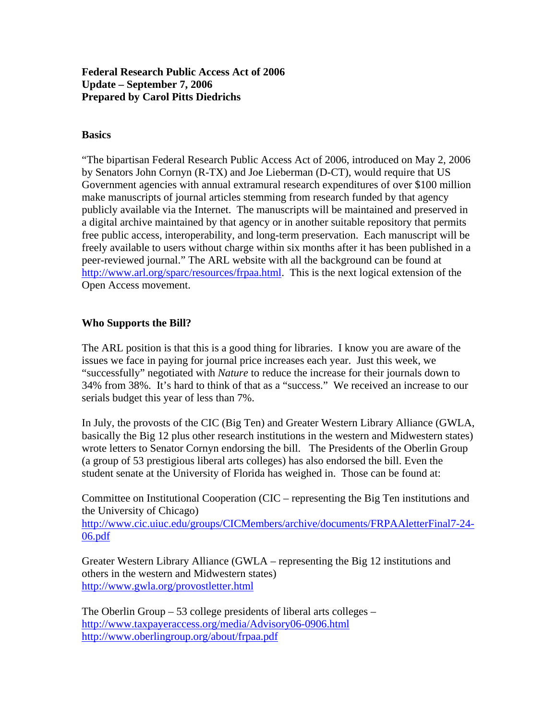### **Federal Research Public Access Act of 2006 Update – September 7, 2006 Prepared by Carol Pitts Diedrichs**

### **Basics**

"The bipartisan Federal Research Public Access Act of 2006, introduced on May 2, 2006 by Senators John Cornyn (R-TX) and Joe Lieberman (D-CT), would require that US Government agencies with annual extramural research expenditures of over \$100 million make manuscripts of journal articles stemming from research funded by that agency publicly available via the Internet. The manuscripts will be maintained and preserved in a digital archive maintained by that agency or in another suitable repository that permits free public access, interoperability, and long-term preservation. Each manuscript will be freely available to users without charge within six months after it has been published in a peer-reviewed journal." The ARL website with all the background can be found at http://www.arl.org/sparc/resources/frpaa.html. This is the next logical extension of the Open Access movement.

#### **Who Supports the Bill?**

The ARL position is that this is a good thing for libraries. I know you are aware of the issues we face in paying for journal price increases each year. Just this week, we "successfully" negotiated with *Nature* to reduce the increase for their journals down to 34% from 38%. It's hard to think of that as a "success." We received an increase to our serials budget this year of less than 7%.

In July, the provosts of the CIC (Big Ten) and Greater Western Library Alliance (GWLA, basically the Big 12 plus other research institutions in the western and Midwestern states) wrote letters to Senator Cornyn endorsing the bill. The Presidents of the Oberlin Group (a group of 53 prestigious liberal arts colleges) has also endorsed the bill. Even the student senate at the University of Florida has weighed in. Those can be found at:

Committee on Institutional Cooperation (CIC – representing the Big Ten institutions and the University of Chicago) http://www.cic.uiuc.edu/groups/CICMembers/archive/documents/FRPAAletterFinal7-24-

06.pdf

Greater Western Library Alliance (GWLA – representing the Big 12 institutions and others in the western and Midwestern states) http://www.gwla.org/provostletter.html

The Oberlin Group – 53 college presidents of liberal arts colleges – http://www.taxpayeraccess.org/media/Advisory06-0906.html http://www.oberlingroup.org/about/frpaa.pdf